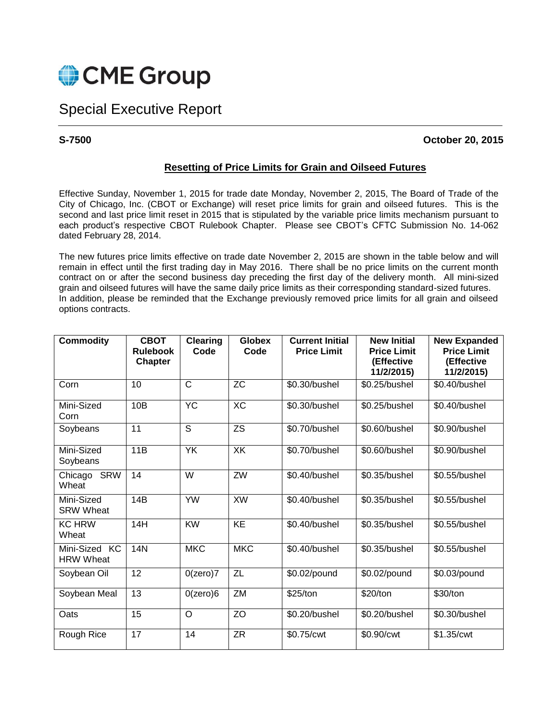

## Special Executive Report

**S-7500 October 20, 2015**

## **Resetting of Price Limits for Grain and Oilseed Futures**

Effective Sunday, November 1, 2015 for trade date Monday, November 2, 2015, The Board of Trade of the City of Chicago, Inc. (CBOT or Exchange) will reset price limits for grain and oilseed futures. This is the second and last price limit reset in 2015 that is stipulated by the variable price limits mechanism pursuant to each product's respective CBOT Rulebook Chapter. Please see CBOT's CFTC Submission No. 14-062 dated February 28, 2014.

The new futures price limits effective on trade date November 2, 2015 are shown in the table below and will remain in effect until the first trading day in May 2016. There shall be no price limits on the current month contract on or after the second business day preceding the first day of the delivery month. All mini-sized grain and oilseed futures will have the same daily price limits as their corresponding standard-sized futures. In addition, please be reminded that the Exchange previously removed price limits for all grain and oilseed options contracts.

| <b>Commodity</b>                  | <b>CBOT</b><br><b>Rulebook</b><br><b>Chapter</b> | <b>Clearing</b><br>Code | <b>Globex</b><br>Code | <b>Current Initial</b><br><b>Price Limit</b> | <b>New Initial</b><br><b>Price Limit</b><br>(Effective<br>11/2/2015) | <b>New Expanded</b><br><b>Price Limit</b><br>(Effective<br>11/2/2015) |
|-----------------------------------|--------------------------------------------------|-------------------------|-----------------------|----------------------------------------------|----------------------------------------------------------------------|-----------------------------------------------------------------------|
| Corn                              | 10                                               | C                       | $\overline{z}$        | \$0.30/bushel                                | \$0.25/bushel                                                        | \$0.40/bushel                                                         |
| Mini-Sized<br>Corn                | 10B                                              | <b>YC</b>               | XC                    | \$0.30/bushel                                | \$0.25/bushel                                                        | \$0.40/bushel                                                         |
| Soybeans                          | 11                                               | S                       | <b>ZS</b>             | \$0.70/bushel                                | \$0.60/bushel                                                        | \$0.90/bushel                                                         |
| Mini-Sized<br>Soybeans            | 11B                                              | <b>YK</b>               | XK                    | \$0.70/bushel                                | \$0.60/bushel                                                        | \$0.90/bushel                                                         |
| <b>SRW</b><br>Chicago<br>Wheat    | 14                                               | W                       | $\overline{ZW}$       | \$0.40/bushel                                | \$0.35/bushel                                                        | \$0.55/bushel                                                         |
| Mini-Sized<br><b>SRW Wheat</b>    | 14B                                              | <b>YW</b>               | <b>XW</b>             | \$0.40/bushel                                | \$0.35/bushel                                                        | \$0.55/bushel                                                         |
| <b>KC HRW</b><br>Wheat            | 14H                                              | <b>KW</b>               | $\overline{KE}$       | \$0.40/bushel                                | \$0.35/bushel                                                        | \$0.55/bushel                                                         |
| Mini-Sized KC<br><b>HRW Wheat</b> | <b>14N</b>                                       | <b>MKC</b>              | <b>MKC</b>            | \$0.40/bushel                                | \$0.35/bushel                                                        | \$0.55/bushel                                                         |
| Soybean Oil                       | 12                                               | $0$ (zero) $7$          | ZL                    | \$0.02/pound                                 | \$0.02/pound                                                         | \$0.03/pound                                                          |
| Soybean Meal                      | 13                                               | $0$ (zero) $6$          | ZM                    | \$25/ton                                     | \$20/ton                                                             | \$30/ton                                                              |
| Oats                              | 15                                               | O                       | ZO                    | \$0.20/bushel                                | \$0.20/bushel                                                        | \$0.30/bushel                                                         |
| Rough Rice                        | 17                                               | 14                      | $\overline{ZR}$       | \$0.75/cwt                                   | \$0.90/cwt                                                           | \$1.35/cwt                                                            |